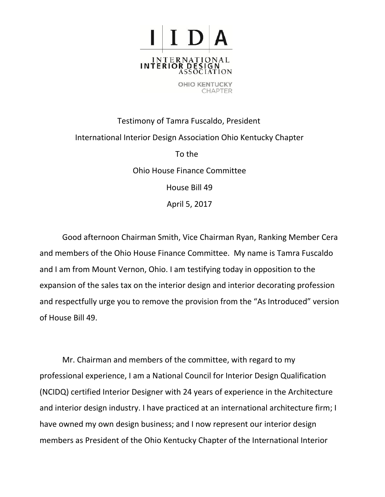

Testimony of Tamra Fuscaldo, President International Interior Design Association Ohio Kentucky Chapter To the Ohio House Finance Committee House Bill 49

April 5, 2017

Good afternoon Chairman Smith, Vice Chairman Ryan, Ranking Member Cera and members of the Ohio House Finance Committee. My name is Tamra Fuscaldo and I am from Mount Vernon, Ohio. I am testifying today in opposition to the expansion of the sales tax on the interior design and interior decorating profession and respectfully urge you to remove the provision from the "As Introduced" version of House Bill 49.

Mr. Chairman and members of the committee, with regard to my professional experience, I am a National Council for Interior Design Qualification (NCIDQ) certified Interior Designer with 24 years of experience in the Architecture and interior design industry. I have practiced at an international architecture firm; I have owned my own design business; and I now represent our interior design members as President of the Ohio Kentucky Chapter of the International Interior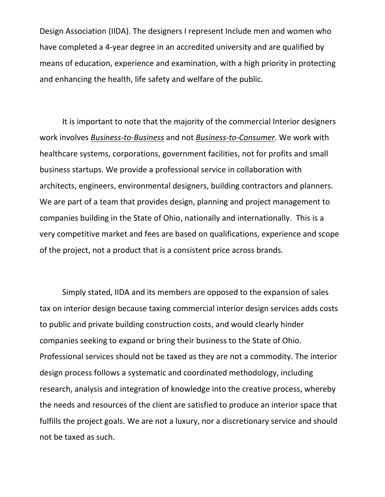Design Association (IIDA). The designers I represent Include men and women who have completed a 4-year degree in an accredited university and are qualified by means of education, experience and examination, with a high priority in protecting and enhancing the health, life safety and welfare of the public.

It is important to note that the majority of the commercial Interior designers work involves *Business-to-Business* and not *Business-to-Consumer*. We work with healthcare systems, corporations, government facilities, not for profits and small business startups. We provide a professional service in collaboration with architects, engineers, environmental designers, building contractors and planners. We are part of a team that provides design, planning and project management to companies building in the State of Ohio, nationally and internationally. This is a very competitive market and fees are based on qualifications, experience and scope of the project, not a product that is a consistent price across brands.

Simply stated, IIDA and its members are opposed to the expansion of sales tax on interior design because taxing commercial interior design services adds costs to public and private building construction costs, and would clearly hinder companies seeking to expand or bring their business to the State of Ohio. Professional services should not be taxed as they are not a commodity. The interior design process follows a systematic and coordinated methodology, including research, analysis and integration of knowledge into the creative process, whereby the needs and resources of the client are satisfied to produce an interior space that fulfills the project goals. We are not a luxury, nor a discretionary service and should not be taxed as such.